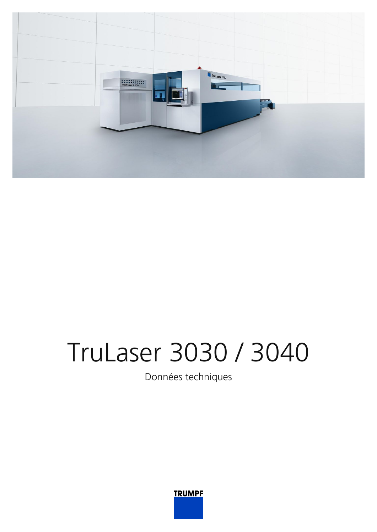

## **TruLaser 3030 / 3040**

Données techniques

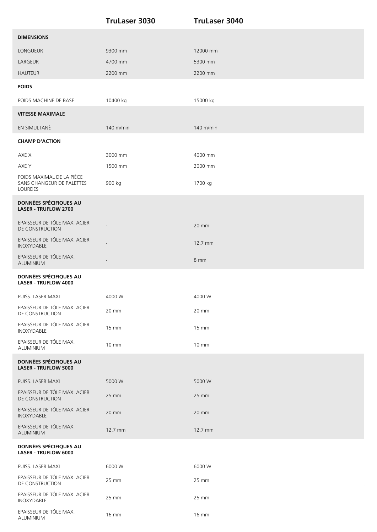|                                                                   | <b>TruLaser 3030</b> | <b>TruLaser 3040</b> |
|-------------------------------------------------------------------|----------------------|----------------------|
| <b>DIMENSIONS</b>                                                 |                      |                      |
| LONGUEUR                                                          | 9300 mm              | 12000 mm             |
| LARGEUR                                                           | 4700 mm              | 5300 mm              |
| <b>HAUTEUR</b>                                                    | 2200 mm              | 2200 mm              |
| <b>POIDS</b>                                                      |                      |                      |
| POIDS MACHINE DE BASE                                             | 10400 kg             | 15000 kg             |
| <b>VITESSE MAXIMALE</b>                                           |                      |                      |
| EN SIMULTANÉ                                                      | 140 m/min            | 140 m/min            |
| <b>CHAMP D'ACTION</b>                                             |                      |                      |
| AXE X                                                             | 3000 mm              | 4000 mm              |
| AXE Y                                                             | 1500 mm              | 2000 mm              |
| POIDS MAXIMAL DE LA PIÈCE<br>SANS CHANGEUR DE PALETTES<br>LOURDES | 900 kg               | 1700 kg              |
| DONNÉES SPÉCIFIQUES AU<br><b>LASER - TRUFLOW 2700</b>             |                      |                      |
| EPAISSEUR DE TÔLE MAX. ACIER<br>DE CONSTRUCTION                   |                      | 20 mm                |
| EPAISSEUR DE TÔLE MAX. ACIER<br>INOXYDABLE                        |                      | 12,7 mm              |
| EPAISSEUR DE TÔLE MAX.<br>ALUMINIUM                               |                      | 8 mm                 |
| DONNÉES SPÉCIFIQUES AU<br><b>LASER - TRUFLOW 4000</b>             |                      |                      |
| PUISS. LASER MAXI                                                 | 4000 W               | 4000 W               |
| EPAISSEUR DE TÔLE MAX. ACIER<br>DE CONSTRUCTION                   | 20 mm                | 20 mm                |
| EPAISSEUR DE TÔLE MAX. ACIER<br>INOXYDABLE                        | 15 mm                | 15 mm                |
| EPAISSEUR DE TÔLE MAX.<br>ALUMINIUM                               | $10 \, \text{mm}$    | 10 mm                |
| DONNÉES SPÉCIFIQUES AU<br><b>LASER - TRUFLOW 5000</b>             |                      |                      |
| PUISS. LASER MAXI                                                 | 5000 W               | 5000 W               |
| EPAISSEUR DE TÔLE MAX. ACIER<br>DE CONSTRUCTION                   | 25 mm                | 25 mm                |
| EPAISSEUR DE TÔLE MAX. ACIER<br>INOXYDABLE                        | 20 mm                | 20 mm                |
| EPAISSEUR DE TÔLE MAX.<br>ALUMINIUM                               | 12,7 mm              | 12,7 mm              |
| DONNÉES SPÉCIFIQUES AU<br><b>LASER - TRUFLOW 6000</b>             |                      |                      |
| PUISS. LASER MAXI                                                 | 6000 W               | 6000 W               |
| EPAISSEUR DE TÔLE MAX. ACIER<br>DE CONSTRUCTION                   | 25 mm                | 25 mm                |
| EPAISSEUR DE TÔLE MAX. ACIER<br>INOXYDABLE                        | 25 mm                | 25 mm                |
| EPAISSEUR DE TÔLE MAX.<br>ALUMINIUM                               | 16 mm                | 16 mm                |